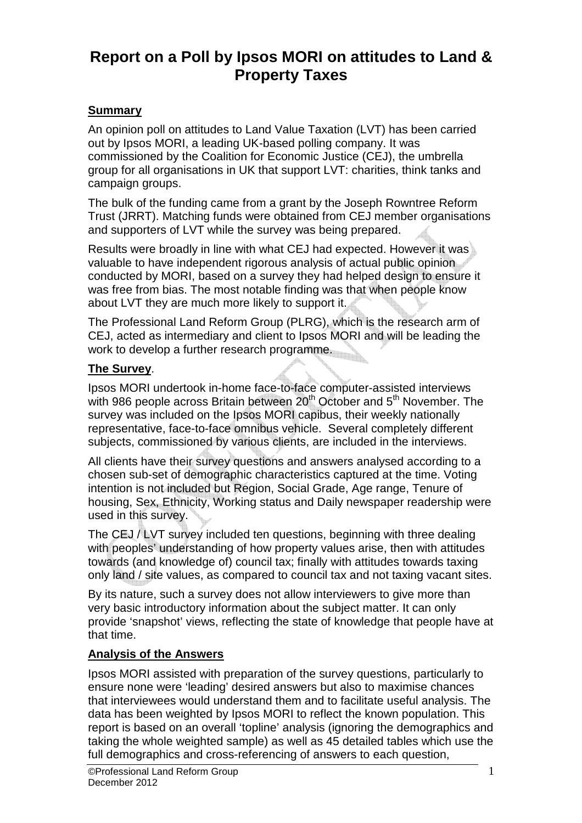# **Report on a Poll by Ipsos MORI on attitudes to Land & Property Taxes**

#### **Summary**

An opinion poll on attitudes to Land Value Taxation (LVT) has been carried out by Ipsos MORI, a leading UK-based polling company. It was commissioned by the Coalition for Economic Justice (CEJ), the umbrella group for all organisations in UK that support LVT: charities, think tanks and campaign groups.

The bulk of the funding came from a grant by the Joseph Rowntree Reform Trust (JRRT). Matching funds were obtained from CEJ member organisations and supporters of LVT while the survey was being prepared.

Results were broadly in line with what CEJ had expected. However it was valuable to have independent rigorous analysis of actual public opinion conducted by MORI, based on a survey they had helped design to ensure it was free from bias. The most notable finding was that when people know about LVT they are much more likely to support it.

The Professional Land Reform Group (PLRG), which is the research arm of CEJ, acted as intermediary and client to Ipsos MORI and will be leading the work to develop a further research programme.

#### **The Survey**.

Ipsos MORI undertook in-home face-to-face computer-assisted interviews with 986 people across Britain between  $20<sup>th</sup>$  October and  $5<sup>th</sup>$  November. The survey was included on the Ipsos MORI capibus, their weekly nationally representative, face-to-face omnibus vehicle. Several completely different subjects, commissioned by various clients, are included in the interviews.

All clients have their survey questions and answers analysed according to a chosen sub-set of demographic characteristics captured at the time. Voting intention is not included but Region, Social Grade, Age range, Tenure of housing, Sex, Ethnicity, Working status and Daily newspaper readership were used in this survey.

The CEJ / LVT survey included ten questions, beginning with three dealing with peoples' understanding of how property values arise, then with attitudes towards (and knowledge of) council tax; finally with attitudes towards taxing only land / site values, as compared to council tax and not taxing vacant sites.

By its nature, such a survey does not allow interviewers to give more than very basic introductory information about the subject matter. It can only provide 'snapshot' views, reflecting the state of knowledge that people have at that time.

## **Analysis of the Answers**

Ipsos MORI assisted with preparation of the survey questions, particularly to ensure none were 'leading' desired answers but also to maximise chances that interviewees would understand them and to facilitate useful analysis. The data has been weighted by Ipsos MORI to reflect the known population. This report is based on an overall 'topline' analysis (ignoring the demographics and taking the whole weighted sample) as well as 45 detailed tables which use the full demographics and cross-referencing of answers to each question,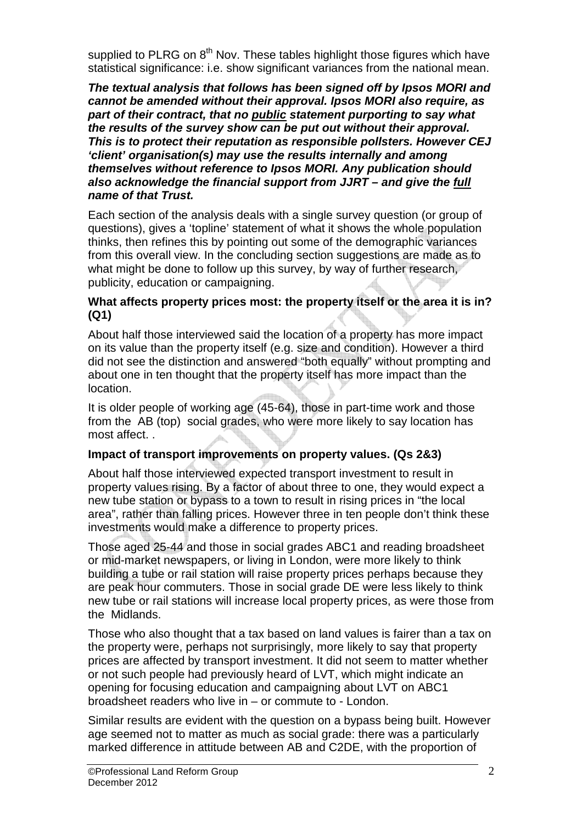supplied to PLRG on  $8<sup>th</sup>$  Nov. These tables highlight those figures which have statistical significance: i.e. show significant variances from the national mean.

**The textual analysis that follows has been signed off by Ipsos MORI and cannot be amended without their approval. Ipsos MORI also require, as part of their contract, that no public statement purporting to say what the results of the survey show can be put out without their approval. This is to protect their reputation as responsible pollsters. However CEJ 'client' organisation(s) may use the results internally and among themselves without reference to Ipsos MORI. Any publication should also acknowledge the financial support from JJRT – and give the full name of that Trust.** 

Each section of the analysis deals with a single survey question (or group of questions), gives a 'topline' statement of what it shows the whole population thinks, then refines this by pointing out some of the demographic variances from this overall view. In the concluding section suggestions are made as to what might be done to follow up this survey, by way of further research, publicity, education or campaigning.

#### **What affects property prices most: the property itself or the area it is in? (Q1)**

About half those interviewed said the location of a property has more impact on its value than the property itself (e.g. size and condition). However a third did not see the distinction and answered "both equally" without prompting and about one in ten thought that the property itself has more impact than the location.

It is older people of working age (45-64), those in part-time work and those from the AB (top) social grades, who were more likely to say location has most affect. .

#### **Impact of transport improvements on property values. (Qs 2&3)**

About half those interviewed expected transport investment to result in property values rising. By a factor of about three to one, they would expect a new tube station or bypass to a town to result in rising prices in "the local area", rather than falling prices. However three in ten people don't think these investments would make a difference to property prices.

Those aged 25-44 and those in social grades ABC1 and reading broadsheet or mid-market newspapers, or living in London, were more likely to think building a tube or rail station will raise property prices perhaps because they are peak hour commuters. Those in social grade DE were less likely to think new tube or rail stations will increase local property prices, as were those from the Midlands.

Those who also thought that a tax based on land values is fairer than a tax on the property were, perhaps not surprisingly, more likely to say that property prices are affected by transport investment. It did not seem to matter whether or not such people had previously heard of LVT, which might indicate an opening for focusing education and campaigning about LVT on ABC1 broadsheet readers who live in – or commute to - London.

Similar results are evident with the question on a bypass being built. However age seemed not to matter as much as social grade: there was a particularly marked difference in attitude between AB and C2DE, with the proportion of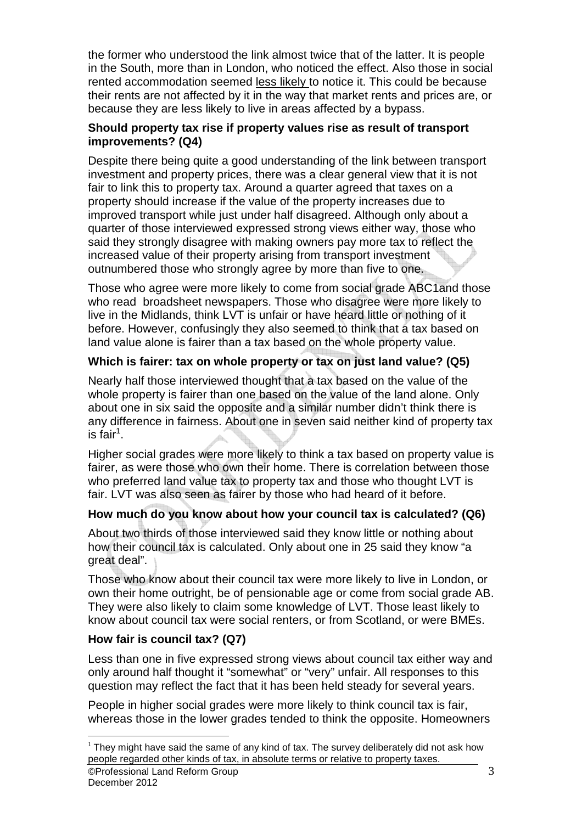the former who understood the link almost twice that of the latter. It is people in the South, more than in London, who noticed the effect. Also those in social rented accommodation seemed less likely to notice it. This could be because their rents are not affected by it in the way that market rents and prices are, or because they are less likely to live in areas affected by a bypass.

#### **Should property tax rise if property values rise as result of transport improvements? (Q4)**

Despite there being quite a good understanding of the link between transport investment and property prices, there was a clear general view that it is not fair to link this to property tax. Around a quarter agreed that taxes on a property should increase if the value of the property increases due to improved transport while just under half disagreed. Although only about a quarter of those interviewed expressed strong views either way, those who said they strongly disagree with making owners pay more tax to reflect the increased value of their property arising from transport investment outnumbered those who strongly agree by more than five to one.

Those who agree were more likely to come from social grade ABC1and those who read broadsheet newspapers. Those who disagree were more likely to live in the Midlands, think LVT is unfair or have heard little or nothing of it before. However, confusingly they also seemed to think that a tax based on land value alone is fairer than a tax based on the whole property value.

## **Which is fairer: tax on whole property or tax on just land value? (Q5)**

Nearly half those interviewed thought that a tax based on the value of the whole property is fairer than one based on the value of the land alone. Only about one in six said the opposite and a similar number didn't think there is any difference in fairness. About one in seven said neither kind of property tax is  $\tilde{\mathsf{fair}}^1$ .

Higher social grades were more likely to think a tax based on property value is fairer, as were those who own their home. There is correlation between those who preferred land value tax to property tax and those who thought LVT is fair. LVT was also seen as fairer by those who had heard of it before.

## **How much do you know about how your council tax is calculated? (Q6)**

About two thirds of those interviewed said they know little or nothing about how their council tax is calculated. Only about one in 25 said they know "a great deal".

Those who know about their council tax were more likely to live in London, or own their home outright, be of pensionable age or come from social grade AB. They were also likely to claim some knowledge of LVT. Those least likely to know about council tax were social renters, or from Scotland, or were BMEs.

## **How fair is council tax? (Q7)**

Less than one in five expressed strong views about council tax either way and only around half thought it "somewhat" or "very" unfair. All responses to this question may reflect the fact that it has been held steady for several years.

People in higher social grades were more likely to think council tax is fair, whereas those in the lower grades tended to think the opposite. Homeowners

 $\overline{a}$  $1$  They might have said the same of any kind of tax. The survey deliberately did not ask how people regarded other kinds of tax, in absolute terms or relative to property taxes.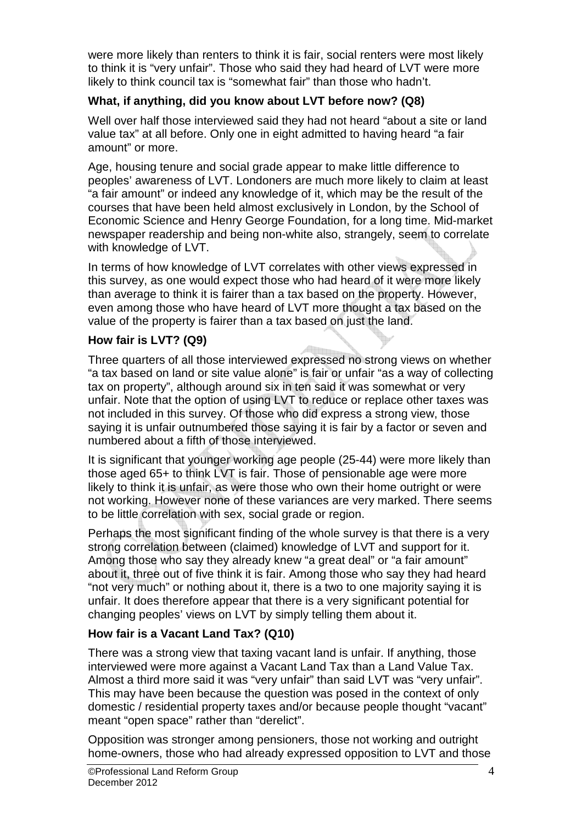were more likely than renters to think it is fair, social renters were most likely to think it is "very unfair". Those who said they had heard of LVT were more likely to think council tax is "somewhat fair" than those who hadn't.

## **What, if anything, did you know about LVT before now? (Q8)**

Well over half those interviewed said they had not heard "about a site or land value tax" at all before. Only one in eight admitted to having heard "a fair amount" or more.

Age, housing tenure and social grade appear to make little difference to peoples' awareness of LVT. Londoners are much more likely to claim at least "a fair amount" or indeed any knowledge of it, which may be the result of the courses that have been held almost exclusively in London, by the School of Economic Science and Henry George Foundation, for a long time. Mid-market newspaper readership and being non-white also, strangely, seem to correlate with knowledge of LVT.

In terms of how knowledge of LVT correlates with other views expressed in this survey, as one would expect those who had heard of it were more likely than average to think it is fairer than a tax based on the property. However, even among those who have heard of LVT more thought a tax based on the value of the property is fairer than a tax based on just the land.

# **How fair is LVT? (Q9)**

Three quarters of all those interviewed expressed no strong views on whether "a tax based on land or site value alone" is fair or unfair "as a way of collecting tax on property", although around six in ten said it was somewhat or very unfair. Note that the option of using LVT to reduce or replace other taxes was not included in this survey. Of those who did express a strong view, those saying it is unfair outnumbered those saying it is fair by a factor or seven and numbered about a fifth of those interviewed.

It is significant that younger working age people (25-44) were more likely than those aged 65+ to think LVT is fair. Those of pensionable age were more likely to think it is unfair, as were those who own their home outright or were not working. However none of these variances are very marked. There seems to be little correlation with sex, social grade or region.

Perhaps the most significant finding of the whole survey is that there is a very strong correlation between (claimed) knowledge of LVT and support for it. Among those who say they already knew "a great deal" or "a fair amount" about it, three out of five think it is fair. Among those who say they had heard "not very much" or nothing about it, there is a two to one majority saying it is unfair. It does therefore appear that there is a very significant potential for changing peoples' views on LVT by simply telling them about it.

# **How fair is a Vacant Land Tax? (Q10)**

There was a strong view that taxing vacant land is unfair. If anything, those interviewed were more against a Vacant Land Tax than a Land Value Tax. Almost a third more said it was "very unfair" than said LVT was "very unfair". This may have been because the question was posed in the context of only domestic / residential property taxes and/or because people thought "vacant" meant "open space" rather than "derelict".

Opposition was stronger among pensioners, those not working and outright home-owners, those who had already expressed opposition to LVT and those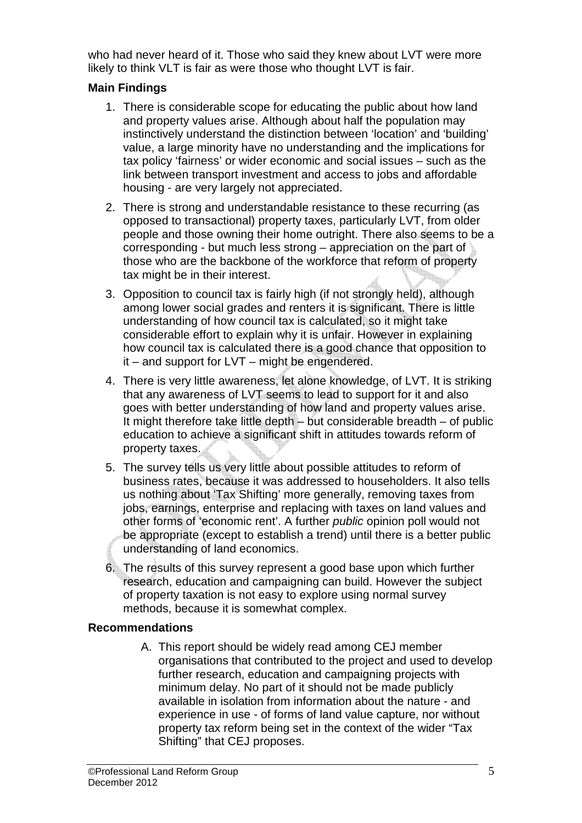who had never heard of it. Those who said they knew about LVT were more likely to think VLT is fair as were those who thought LVT is fair.

#### **Main Findings**

- 1. There is considerable scope for educating the public about how land and property values arise. Although about half the population may instinctively understand the distinction between 'location' and 'building' value, a large minority have no understanding and the implications for tax policy 'fairness' or wider economic and social issues – such as the link between transport investment and access to jobs and affordable housing - are very largely not appreciated.
- 2. There is strong and understandable resistance to these recurring (as opposed to transactional) property taxes, particularly LVT, from older people and those owning their home outright. There also seems to be a corresponding - but much less strong – appreciation on the part of those who are the backbone of the workforce that reform of property tax might be in their interest.
- 3. Opposition to council tax is fairly high (if not strongly held), although among lower social grades and renters it is significant. There is little understanding of how council tax is calculated, so it might take considerable effort to explain why it is unfair. However in explaining how council tax is calculated there is a good chance that opposition to it – and support for LVT – might be engendered.
- 4. There is very little awareness, let alone knowledge, of LVT. It is striking that any awareness of LVT seems to lead to support for it and also goes with better understanding of how land and property values arise. It might therefore take little depth – but considerable breadth – of public education to achieve a significant shift in attitudes towards reform of property taxes.
- 5. The survey tells us very little about possible attitudes to reform of business rates, because it was addressed to householders. It also tells us nothing about 'Tax Shifting' more generally, removing taxes from jobs, earnings, enterprise and replacing with taxes on land values and other forms of 'economic rent'. A further public opinion poll would not be appropriate (except to establish a trend) until there is a better public understanding of land economics.
- 6. The results of this survey represent a good base upon which further research, education and campaigning can build. However the subject of property taxation is not easy to explore using normal survey methods, because it is somewhat complex.

## **Recommendations**

A. This report should be widely read among CEJ member organisations that contributed to the project and used to develop further research, education and campaigning projects with minimum delay. No part of it should not be made publicly available in isolation from information about the nature - and experience in use - of forms of land value capture, nor without property tax reform being set in the context of the wider "Tax Shifting" that CEJ proposes.